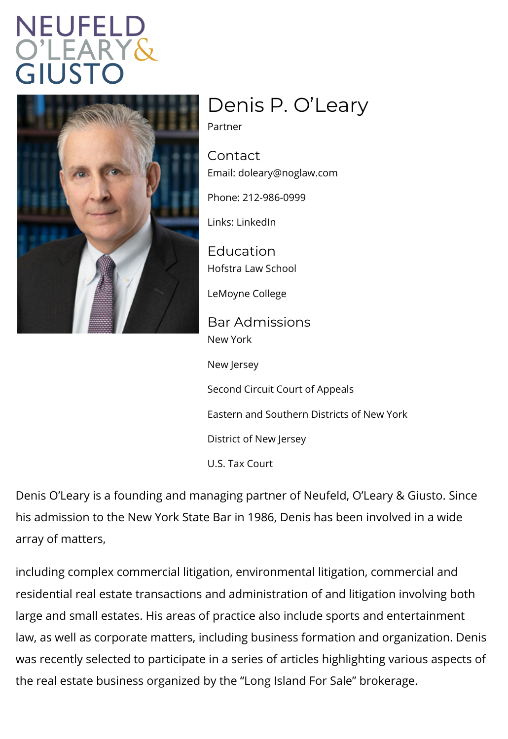## Denis P. O Leary

Partner

Contact Emaidoleary@noglaw.com

Phone: 212-986-0999

Lin[ks: Linke](https://www.linkedin.com/in/denis-o-leary-769a36165/)dIn

Education Hofstra Law School

LeMoyne College

Bar Admissions New York

New Jersey

Second Circuit Court of Appeals

Eastern and Southern Districts of New Yor

District of New Jersey

U.S. Tax Court

Denis O Leary is a founding and managing partner of Neufe his admission to the New York State Bar in 1986, Denis has array of matters,

including complex commercial litigation, environmental litig residential real estate transactions and administration of a large and small estates. His areas of practice also include law, as well as corporate matters, including business forma was recently selected to participate in a series of articles the real estate business organized by the Long Island For